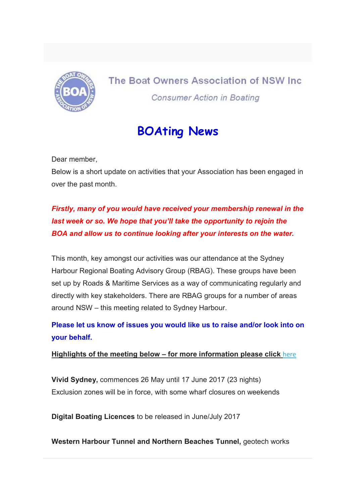

## The Boat Owners Association of NSW Inc. **Consumer Action in Boating**

## BOAting News

Dear member,

Below is a short update on activities that your Association has been engaged in over the past month.

## Firstly, many of you would have received your membership renewal in the last week or so. We hope that you'll take the opportunity to rejoin the BOA and allow us to continue looking after your interests on the water.

This month, key amongst our activities was our attendance at the Sydney Harbour Regional Boating Advisory Group (RBAG). These groups have been set up by Roads & Maritime Services as a way of communicating regularly and directly with key stakeholders. There are RBAG groups for a number of areas around NSW – this meeting related to Sydney Harbour.

Please let us know of issues you would like us to raise and/or look into on your behalf.

## Highlights of the meeting below – for more information please click here

Vivid Sydney, commences 26 May until 17 June 2017 (23 nights) Exclusion zones will be in force, with some wharf closures on weekends

Digital Boating Licences to be released in June/July 2017

Western Harbour Tunnel and Northern Beaches Tunnel, geotech works